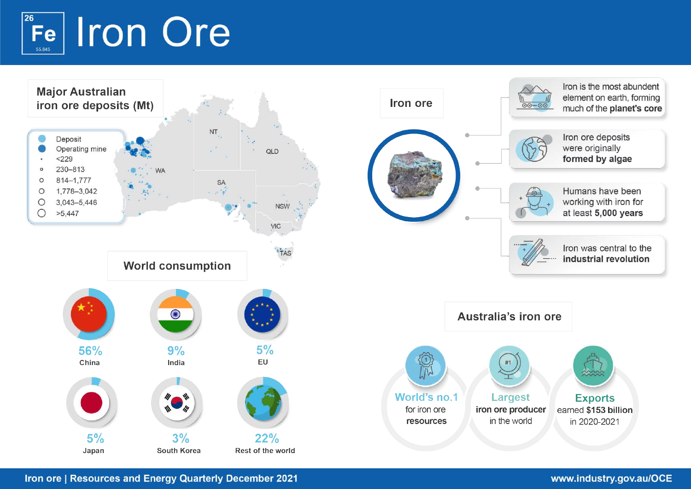# 26 **Iron Ore Fe** 55.845

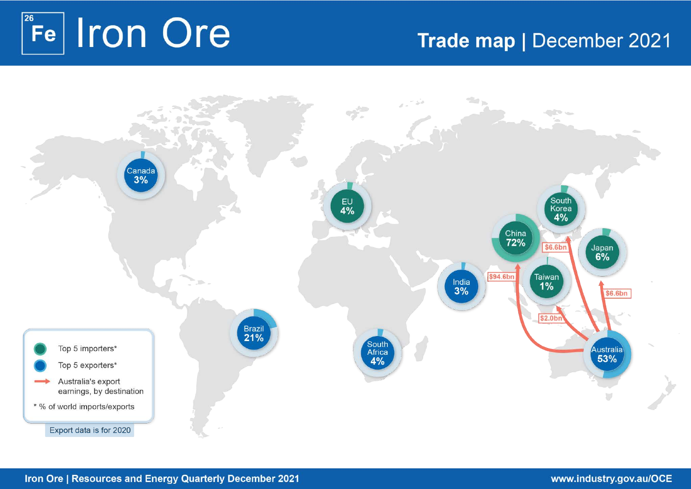# 26 Fe Iron Ore

# Trade map | December 2021

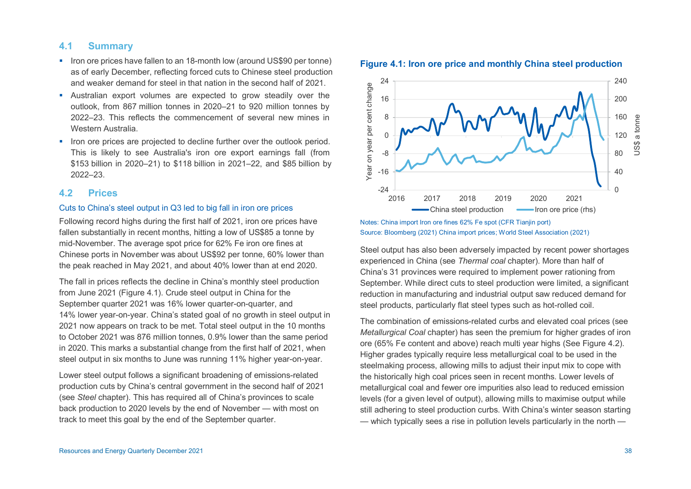# **4.1 Summary**

- Iron ore prices have fallen to an 18-month low (around US\$90 per tonne) as of early December, reflecting forced cuts to Chinese steel production and weaker demand for steel in that nation in the second half of 2021.
- Australian export volumes are expected to grow steadily over the outlook, from 867 million tonnes in 2020–21 to 920 million tonnes by 2022–23. This reflects the commencement of several new mines in Western Australia.
- Iron ore prices are projected to decline further over the outlook period. This is likely to see Australia's iron ore export earnings fall (from \$153 billion in 2020–21) to \$118 billion in 2021–22, and \$85 billion by 2022–23.

### **4.2 Prices**

# Cuts to China's steel output in Q3 led to big fall in iron ore prices

Following record highs during the first half of 2021, iron ore prices have fallen substantially in recent months, hitting a low of US\$85 a tonne by mid-November. The average spot price for 62% Fe iron ore fines at Chinese ports in November was about US\$92 per tonne, 60% lower than the peak reached in May 2021, and about 40% lower than at end 2020.

The fall in prices reflects the decline in China's monthly steel production from June 2021 (Figure 4.1). Crude steel output in China for the September quarter 2021 was 16% lower quarter-on-quarter, and 14% lower year-on-year. China's stated goal of no growth in steel output in 2021 now appears on track to be met. Total steel output in the 10 months to October 2021 was 876 million tonnes, 0.9% lower than the same period in 2020. This marks a substantial change from the first half of 2021, when steel output in six months to June was running 11% higher year-on-year.

Lower steel output follows a significant broadening of emissions-related production cuts by China's central government in the second half of 2021 (see *Steel* chapter). This has required all of China's provinces to scale back production to 2020 levels by the end of November — with most on track to meet this goal by the end of the September quarter.



#### **Figure 4.1: Iron ore price and monthly China steel production**

Notes: China import Iron ore fines 62% Fe spot (CFR Tianjin port) Source: Bloomberg (2021) China import prices; World Steel Association (2021)

Steel output has also been adversely impacted by recent power shortages experienced in China (see *Thermal coal* chapter). More than half of China's 31 provinces were required to implement power rationing from September. While direct cuts to steel production were limited, a significant reduction in manufacturing and industrial output saw reduced demand for steel products, particularly flat steel types such as hot-rolled coil.

The combination of emissions-related curbs and elevated coal prices (see *Metallurgical Coal* chapter) has seen the premium for higher grades of iron ore (65% Fe content and above) reach multi year highs (See Figure 4.2). Higher grades typically require less metallurgical coal to be used in the steelmaking process, allowing mills to adjust their input mix to cope with the historically high coal prices seen in recent months. Lower levels of metallurgical coal and fewer ore impurities also lead to reduced emission levels (for a given level of output), allowing mills to maximise output while still adhering to steel production curbs. With China's winter season starting — which typically sees a rise in pollution levels particularly in the north —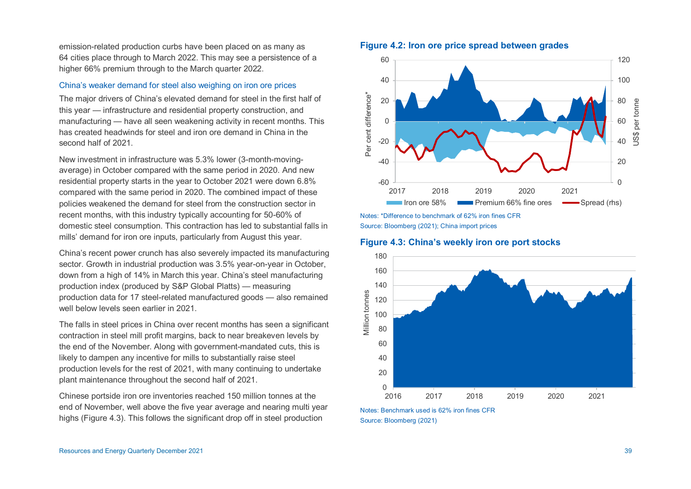emission-related production curbs have been placed on as many as 64 cities place through to March 2022. This may see a persistence of a higher 66% premium through to the March quarter 2022.

#### China's weaker demand for steel also weighing on iron ore prices

The major drivers of China's elevated demand for steel in the first half of this year — infrastructure and residential property construction, and manufacturing — have all seen weakening activity in recent months. This has created headwinds for steel and iron ore demand in China in the second half of 2021.

New investment in infrastructure was 5.3% lower (3-month-movingaverage) in October compared with the same period in 2020. And new residential property starts in the year to October 2021 were down 6.8% compared with the same period in 2020. The combined impact of these policies weakened the demand for steel from the construction sector in recent months, with this industry typically accounting for 50-60% of domestic steel consumption. This contraction has led to substantial falls in mills' demand for iron ore inputs, particularly from August this year.

China's recent power crunch has also severely impacted its manufacturing sector. Growth in industrial production was 3.5% year-on-year in October, down from a high of 14% in March this year. China's steel manufacturing production index (produced by S&P Global Platts) — measuring production data for 17 steel-related manufactured goods — also remained well below levels seen earlier in 2021.

The falls in steel prices in China over recent months has seen a significant contraction in steel mill profit margins, back to near breakeven levels by the end of the November. Along with government-mandated cuts, this is likely to dampen any incentive for mills to substantially raise steel production levels for the rest of 2021, with many continuing to undertake plant maintenance throughout the second half of 2021.

Chinese portside iron ore inventories reached 150 million tonnes at the end of November, well above the five year average and nearing multi year highs (Figure 4.3). This follows the significant drop off in steel production



#### **Figure 4.2: Iron ore price spread between grades**

Notes: \*Difference to benchmark of 62% iron fines CFR Source: Bloomberg (2021); China import prices

**Figure 4.3: China's weekly iron ore port stocks** 



Notes: Benchmark used is 62% iron fines CFR Source: Bloomberg (2021)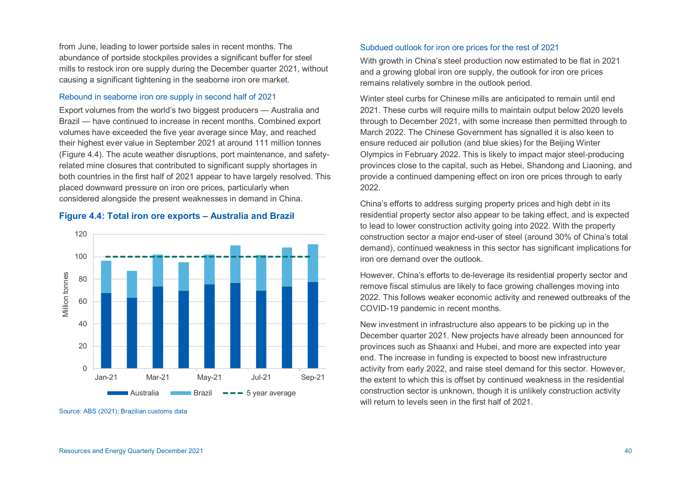from June, leading to lower portside sales in recent months. The abundance of portside stockpiles provides a significant buffer for steel mills to restock iron ore supply during the December quarter 2021, without causing a significant tightening in the seaborne iron ore market.

### Rebound in seaborne iron ore supply in second half of 2021

Export volumes from the world's two biggest producers — Australia and Brazil — have continued to increase in recent months. Combined export volumes have exceeded the five year average since May, and reached their highest ever value in September 2021 at around 111 million tonnes (Figure 4.4). The acute weather disruptions, port maintenance, and safetyrelated mine closures that contributed to significant supply shortages in both countries in the first half of 2021 appear to have largely resolved. This placed downward pressure on iron ore prices, particularly when considered alongside the present weaknesses in demand in China.

# **Figure 4.4: Total iron ore exports – Australia and Brazil**



Source: ABS (2021); Brazilian customs data

#### Subdued outlook for iron ore prices for the rest of 2021

With growth in China's steel production now estimated to be flat in 2021 and a growing global iron ore supply, the outlook for iron ore prices remains relatively sombre in the outlook period.

Winter steel curbs for Chinese mills are anticipated to remain until end 2021. These curbs will require mills to maintain output below 2020 levels through to December 2021, with some increase then permitted through to March 2022. The Chinese Government has signalled it is also keen to ensure reduced air pollution (and blue skies) for the Beijing Winter Olympics in February 2022. This is likely to impact major steel-producing provinces close to the capital, such as Hebei, Shandong and Liaoning, and provide a continued dampening effect on iron ore prices through to early 2022.

China's efforts to address surging property prices and high debt in its residential property sector also appear to be taking effect, and is expected to lead to lower construction activity going into 2022. With the property construction sector a major end-user of steel (around 30% of China's total demand), continued weakness in this sector has significant implications for iron ore demand over the outlook.

However, China's efforts to de-leverage its residential property sector and remove fiscal stimulus are likely to face growing challenges moving into 2022. This follows weaker economic activity and renewed outbreaks of the COVID-19 pandemic in recent months.

New investment in infrastructure also appears to be picking up in the December quarter 2021. New projects have already been announced for provinces such as Shaanxi and Hubei, and more are expected into year end. The increase in funding is expected to boost new infrastructure activity from early 2022, and raise steel demand for this sector. However, the extent to which this is offset by continued weakness in the residential construction sector is unknown, though it is unlikely construction activity will return to levels seen in the first half of 2021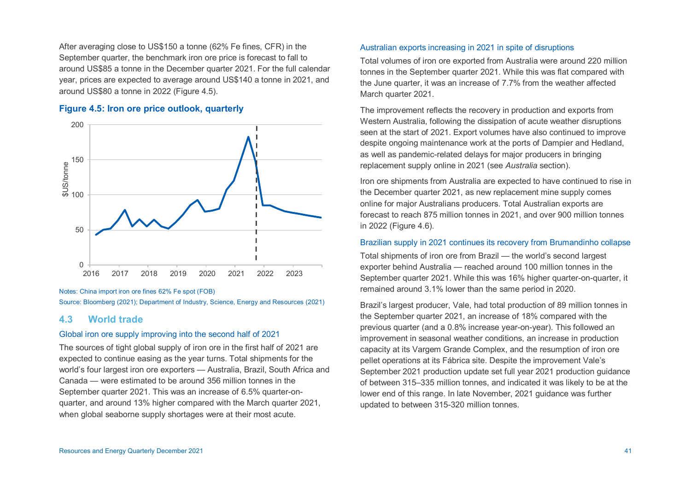After averaging close to US\$150 a tonne (62% Fe fines, CFR) in the September quarter, the benchmark iron ore price is forecast to fall to around US\$85 a tonne in the December quarter 2021. For the full calendar year, prices are expected to average around US\$140 a tonne in 2021, and around US\$80 a tonne in 2022 (Figure 4.5).

# **Figure 4.5: Iron ore price outlook, quarterly**



Notes: China import iron ore fines 62% Fe spot (FOB) Source: Bloomberg (2021); Department of Industry, Science, Energy and Resources (2021)

# **4.3 World trade**

#### Global iron ore supply improving into the second half of 2021

The sources of tight global supply of iron ore in the first half of 2021 are expected to continue easing as the year turns. Total shipments for the world's four largest iron ore exporters — Australia, Brazil, South Africa and Canada — were estimated to be around 356 million tonnes in the September quarter 2021. This was an increase of 6.5% quarter-onquarter, and around 13% higher compared with the March quarter 2021, when global seaborne supply shortages were at their most acute.

### Australian exports increasing in 2021 in spite of disruptions

Total volumes of iron ore exported from Australia were around 220 million tonnes in the September quarter 2021. While this was flat compared with the June quarter, it was an increase of 7.7% from the weather affected March quarter 2021.

The improvement reflects the recovery in production and exports from Western Australia, following the dissipation of acute weather disruptions seen at the start of 2021. Export volumes have also continued to improve despite ongoing maintenance work at the ports of Dampier and Hedland, as well as pandemic-related delays for major producers in bringing replacement supply online in 2021 (see *Australia* section).

Iron ore shipments from Australia are expected to have continued to rise in the December quarter 2021, as new replacement mine supply comes online for major Australians producers. Total Australian exports are forecast to reach 875 million tonnes in 2021, and over 900 million tonnes in 2022 (Figure 4.6).

#### Brazilian supply in 2021 continues its recovery from Brumandinho collapse

Total shipments of iron ore from Brazil — the world's second largest exporter behind Australia — reached around 100 million tonnes in the September quarter 2021. While this was 16% higher quarter-on-quarter, it remained around 3.1% lower than the same period in 2020.

Brazil's largest producer, Vale, had total production of 89 million tonnes in the September quarter 2021, an increase of 18% compared with the previous quarter (and a 0.8% increase year-on-year). This followed an improvement in seasonal weather conditions, an increase in production capacity at its Vargem Grande Complex, and the resumption of iron ore pellet operations at its Fábrica site. Despite the improvement Vale's September 2021 production update set full year 2021 production guidance of between 315–335 million tonnes, and indicated it was likely to be at the lower end of this range. In late November, 2021 guidance was further updated to between 315-320 million tonnes.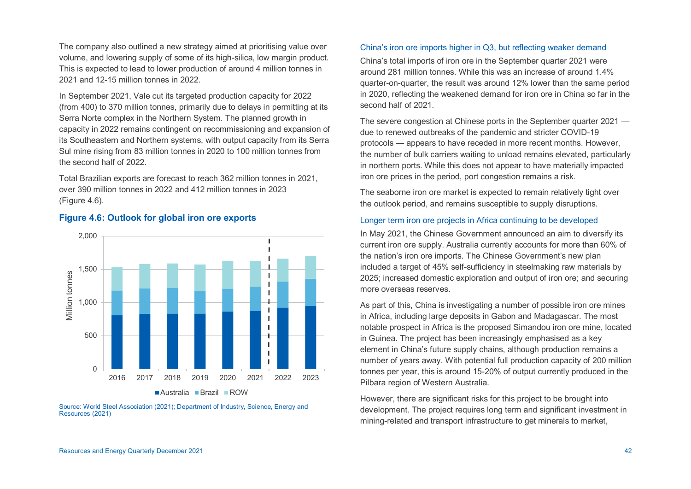The company also outlined a new strategy aimed at prioritising value over volume, and lowering supply of some of its high-silica, low margin product. This is expected to lead to lower production of around 4 million tonnes in 2021 and 12-15 million tonnes in 2022.

In September 2021, Vale cut its targeted production capacity for 2022 (from 400) to 370 million tonnes, primarily due to delays in permitting at its Serra Norte complex in the Northern System. The planned growth in capacity in 2022 remains contingent on recommissioning and expansion of its Southeastern and Northern systems, with output capacity from its Serra Sul mine rising from 83 million tonnes in 2020 to 100 million tonnes from the second half of 2022.

Total Brazilian exports are forecast to reach 362 million tonnes in 2021, over 390 million tonnes in 2022 and 412 million tonnes in 2023 (Figure 4.6).

## **Figure 4.6: Outlook for global iron ore exports**



Source: World Steel Association (2021); Department of Industry, Science, Energy and Resources (2021)

#### China's iron ore imports higher in Q3, but reflecting weaker demand

China's total imports of iron ore in the September quarter 2021 were around 281 million tonnes. While this was an increase of around 1.4% quarter-on-quarter, the result was around 12% lower than the same period in 2020, reflecting the weakened demand for iron ore in China so far in the second half of 2021.

The severe congestion at Chinese ports in the September quarter 2021 due to renewed outbreaks of the pandemic and stricter COVID-19 protocols — appears to have receded in more recent months. However, the number of bulk carriers waiting to unload remains elevated, particularly in northern ports. While this does not appear to have materially impacted iron ore prices in the period, port congestion remains a risk.

The seaborne iron ore market is expected to remain relatively tight over the outlook period, and remains susceptible to supply disruptions.

#### Longer term iron ore projects in Africa continuing to be developed

In May 2021, the Chinese Government announced an aim to diversify its current iron ore supply. Australia currently accounts for more than 60% of the nation's iron ore imports. The Chinese Government's new plan included a target of 45% self-sufficiency in steelmaking raw materials by 2025; increased domestic exploration and output of iron ore; and securing more overseas reserves.

As part of this, China is investigating a number of possible iron ore mines in Africa, including large deposits in Gabon and Madagascar. The most notable prospect in Africa is the proposed Simandou iron ore mine, located in Guinea. The project has been increasingly emphasised as a key element in China's future supply chains, although production remains a number of years away. With potential full production capacity of 200 million tonnes per year, this is around 15-20% of output currently produced in the Pilbara region of Western Australia.

However, there are significant risks for this project to be brought into development. The project requires long term and significant investment in mining-related and transport infrastructure to get minerals to market,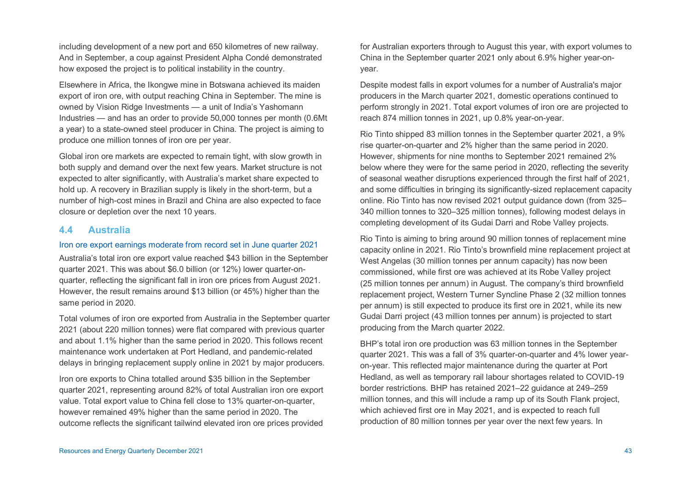including development of a new port and 650 kilometres of new railway. And in September, a coup against President Alpha Condé demonstrated how exposed the project is to political instability in the country.

Elsewhere in Africa, the Ikongwe mine in Botswana achieved its maiden export of iron ore, with output reaching China in September. The mine is owned by Vision Ridge Investments — a unit of India's Yashomann Industries — and has an order to provide 50,000 tonnes per month (0.6Mt a year) to a state-owned steel producer in China. The project is aiming to produce one million tonnes of iron ore per year.

Global iron ore markets are expected to remain tight, with slow growth in both supply and demand over the next few years. Market structure is not expected to alter significantly, with Australia's market share expected to hold up. A recovery in Brazilian supply is likely in the short-term, but a number of high-cost mines in Brazil and China are also expected to face closure or depletion over the next 10 years.

# **4.4 Australia**

#### Iron ore export earnings moderate from record set in June quarter 2021

Australia's total iron ore export value reached \$43 billion in the September quarter 2021. This was about \$6.0 billion (or 12%) lower quarter-onquarter, reflecting the significant fall in iron ore prices from August 2021. However, the result remains around \$13 billion (or 45%) higher than the same period in 2020.

Total volumes of iron ore exported from Australia in the September quarter 2021 (about 220 million tonnes) were flat compared with previous quarter and about 1.1% higher than the same period in 2020. This follows recent maintenance work undertaken at Port Hedland, and pandemic-related delays in bringing replacement supply online in 2021 by major producers.

Iron ore exports to China totalled around \$35 billion in the September quarter 2021, representing around 82% of total Australian iron ore export value. Total export value to China fell close to 13% quarter-on-quarter, however remained 49% higher than the same period in 2020. The outcome reflects the significant tailwind elevated iron ore prices provided

for Australian exporters through to August this year, with export volumes to China in the September quarter 2021 only about 6.9% higher year-onyear.

Despite modest falls in export volumes for a number of Australia's major producers in the March quarter 2021, domestic operations continued to perform strongly in 2021. Total export volumes of iron ore are projected to reach 874 million tonnes in 2021, up 0.8% year-on-year.

Rio Tinto shipped 83 million tonnes in the September quarter 2021, a 9% rise quarter-on-quarter and 2% higher than the same period in 2020. However, shipments for nine months to September 2021 remained 2% below where they were for the same period in 2020, reflecting the severity of seasonal weather disruptions experienced through the first half of 2021, and some difficulties in bringing its significantly-sized replacement capacity online. Rio Tinto has now revised 2021 output guidance down (from 325– 340 million tonnes to 320–325 million tonnes), following modest delays in completing development of its Gudai Darri and Robe Valley projects.

Rio Tinto is aiming to bring around 90 million tonnes of replacement mine capacity online in 2021. Rio Tinto's brownfield mine replacement project at West Angelas (30 million tonnes per annum capacity) has now been commissioned, while first ore was achieved at its Robe Valley project (25 million tonnes per annum) in August. The company's third brownfield replacement project, Western Turner Syncline Phase 2 (32 million tonnes per annum) is still expected to produce its first ore in 2021, while its new Gudai Darri project (43 million tonnes per annum) is projected to start producing from the March quarter 2022.

BHP's total iron ore production was 63 million tonnes in the September quarter 2021. This was a fall of 3% quarter-on-quarter and 4% lower yearon-year. This reflected major maintenance during the quarter at Port Hedland, as well as temporary rail labour shortages related to COVID-19 border restrictions. BHP has retained 2021–22 guidance at 249–259 million tonnes, and this will include a ramp up of its South Flank project, which achieved first ore in May 2021, and is expected to reach full production of 80 million tonnes per year over the next few years. In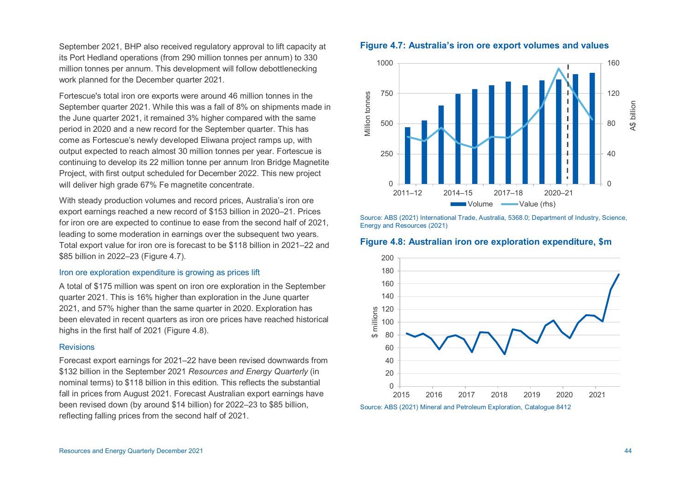September 2021, BHP also received regulatory approval to lift capacity at its Port Hedland operations (from 290 million tonnes per annum) to 330 million tonnes per annum. This development will follow debottlenecking work planned for the December quarter 2021.

Fortescue's total iron ore exports were around 46 million tonnes in the September quarter 2021. While this was a fall of 8% on shipments made in the June quarter 2021, it remained 3% higher compared with the same period in 2020 and a new record for the September quarter. This has come as Fortescue's newly developed Eliwana project ramps up, with output expected to reach almost 30 million tonnes per year. Fortescue is continuing to develop its 22 million tonne per annum Iron Bridge Magnetite Project, with first output scheduled for December 2022. This new project will deliver high grade 67% Fe magnetite concentrate.

With steady production volumes and record prices, Australia's iron ore export earnings reached a new record of \$153 billion in 2020–21. Prices for iron ore are expected to continue to ease from the second half of 2021, leading to some moderation in earnings over the subsequent two years. Total export value for iron ore is forecast to be \$118 billion in 2021–22 and \$85 billion in 2022–23 (Figure 4.7).

#### Iron ore exploration expenditure is growing as prices lift

A total of \$175 million was spent on iron ore exploration in the September quarter 2021. This is 16% higher than exploration in the June quarter 2021, and 57% higher than the same quarter in 2020. Exploration has been elevated in recent quarters as iron ore prices have reached historical highs in the first half of 2021 (Figure 4.8).

#### **Revisions**

Forecast export earnings for 2021–22 have been revised downwards from \$132 billion in the September 2021 *Resources and Energy Quarterly* (in nominal terms) to \$118 billion in this edition. This reflects the substantial fall in prices from August 2021. Forecast Australian export earnings have been revised down (by around \$14 billion) for 2022–23 to \$85 billion, reflecting falling prices from the second half of 2021.





Source: ABS (2021) International Trade, Australia, 5368.0; Department of Industry, Science, Energy and Resources (2021)

# **Figure 4.8: Australian iron ore exploration expenditure, \$m**

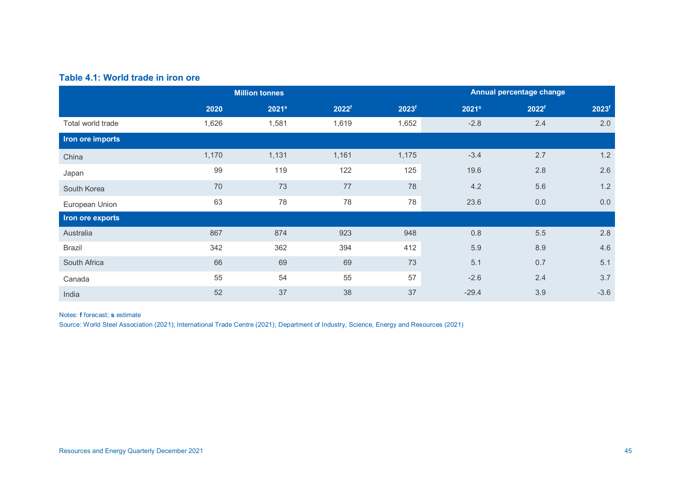# **Table 4.1: World trade in iron ore**

|                   |       | <b>Million tonnes</b> |                   |                   | Annual percentage change |                   |                   |  |
|-------------------|-------|-----------------------|-------------------|-------------------|--------------------------|-------------------|-------------------|--|
|                   | 2020  | 2021 <sup>s</sup>     | 2022 <sup>f</sup> | 2023 <sup>f</sup> | 2021 <sup>s</sup>        | 2022 <sup>f</sup> | 2023 <sup>f</sup> |  |
| Total world trade | 1,626 | 1,581                 | 1,619             | 1,652             | $-2.8$                   | 2.4               | 2.0               |  |
| Iron ore imports  |       |                       |                   |                   |                          |                   |                   |  |
| China             | 1,170 | 1,131                 | 1,161             | 1,175             | $-3.4$                   | 2.7               | 1.2               |  |
| Japan             | 99    | 119                   | 122               | 125               | 19.6                     | 2.8               | 2.6               |  |
| South Korea       | 70    | 73                    | 77                | 78                | 4.2                      | 5.6               | 1.2               |  |
| European Union    | 63    | 78                    | 78                | 78                | 23.6                     | 0.0               | 0.0               |  |
| Iron ore exports  |       |                       |                   |                   |                          |                   |                   |  |
| Australia         | 867   | 874                   | 923               | 948               | 0.8                      | 5.5               | 2.8               |  |
| <b>Brazil</b>     | 342   | 362                   | 394               | 412               | 5.9                      | 8.9               | 4.6               |  |
| South Africa      | 66    | 69                    | 69                | 73                | 5.1                      | 0.7               | 5.1               |  |
| Canada            | 55    | 54                    | 55                | 57                | $-2.6$                   | 2.4               | 3.7               |  |
| India             | 52    | 37                    | 38                | 37                | $-29.4$                  | 3.9               | $-3.6$            |  |

#### Notes: **f** forecast; **s** estimate

Source: World Steel Association (2021); International Trade Centre (2021); Department of Industry, Science, Energy and Resources (2021)